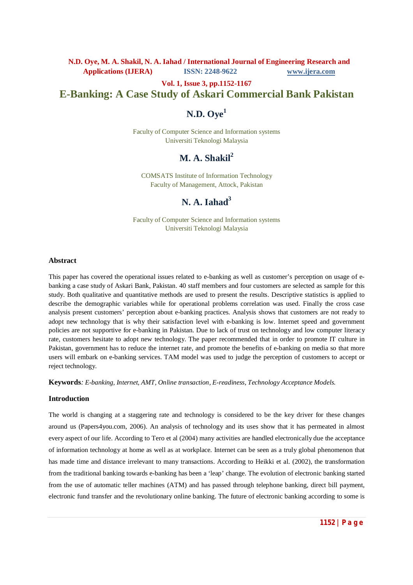**Vol. 1, Issue 3, pp.1152-1167**

# **E-Banking: A Case Study of Askari Commercial Bank Pakistan**

# **N.D. Oye<sup>1</sup>**

Faculty of Computer Science and Information systems Universiti Teknologi Malaysia

# **M. A. Shakil<sup>2</sup>**

COMSATS Institute of Information Technology Faculty of Management, Attock, Pakistan

# **N. A. Iahad<sup>3</sup>**

Faculty of Computer Science and Information systems Universiti Teknologi Malaysia

#### **Abstract**

This paper has covered the operational issues related to e-banking as well as customer's perception on usage of ebanking a case study of Askari Bank, Pakistan. 40 staff members and four customers are selected as sample for this study. Both qualitative and quantitative methods are used to present the results. Descriptive statistics is applied to describe the demographic variables while for operational problems correlation was used. Finally the cross case analysis present customers' perception about e-banking practices. Analysis shows that customers are not ready to adopt new technology that is why their satisfaction level with e-banking is low. Internet speed and government policies are not supportive for e-banking in Pakistan. Due to lack of trust on technology and low computer literacy rate, customers hesitate to adopt new technology. The paper recommended that in order to promote IT culture in Pakistan, government has to reduce the internet rate, and promote the benefits of e-banking on media so that more users will embark on e-banking services. TAM model was used to judge the perception of customers to accept or reject technology.

**Keywords***: E-banking, Internet, AMT, Online transaction, E-readiness, Technology Acceptance Models.*

#### **Introduction**

The world is changing at a staggering rate and technology is considered to be the key driver for these changes around us (Papers4you.com, 2006). An analysis of technology and its uses show that it has permeated in almost every aspect of our life. According to Tero et al (2004) many activities are handled electronically due the acceptance of information technology at home as well as at workplace. Internet can be seen as a truly global phenomenon that has made time and distance irrelevant to many transactions. According to Heikki et al. (2002), the transformation from the traditional banking towards e-banking has been a 'leap' change. The evolution of electronic banking started from the use of automatic teller machines (ATM) and has passed through telephone banking, direct bill payment, electronic fund transfer and the revolutionary online banking. The future of electronic banking according to some is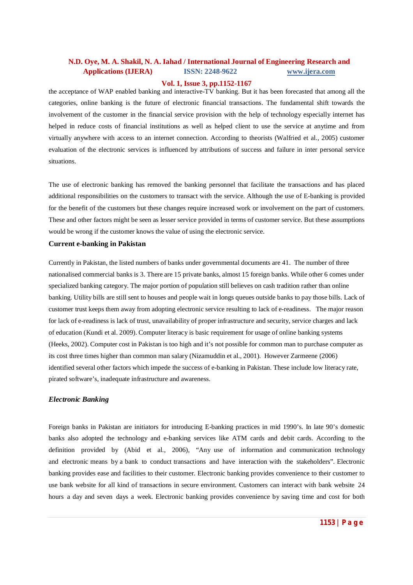#### **Vol. 1, Issue 3, pp.1152-1167**

the acceptance of WAP enabled banking and interactive-TV banking. But it has been forecasted that among all the categories, online banking is the future of electronic financial transactions. The fundamental shift towards the involvement of the customer in the financial service provision with the help of technology especially internet has helped in reduce costs of financial institutions as well as helped client to use the service at anytime and from virtually anywhere with access to an internet connection. According to theorists (Walfried et al., 2005) customer evaluation of the electronic services is influenced by attributions of success and failure in inter personal service situations.

The use of electronic banking has removed the banking personnel that facilitate the transactions and has placed additional responsibilities on the customers to transact with the service. Although the use of E-banking is provided for the benefit of the customers but these changes require increased work or involvement on the part of customers. These and other factors might be seen as lesser service provided in terms of customer service. But these assumptions would be wrong if the customer knows the value of using the electronic service.

#### **Current e-banking in Pakistan**

Currently in Pakistan, the listed numbers of banks under governmental documents are 41. The number of three nationalised commercial banks is 3. There are 15 private banks, almost 15 foreign banks. While other 6 comes under specialized banking category. The major portion of population still believes on cash tradition rather than online banking. Utility bills are still sent to houses and people wait in longs queues outside banks to pay those bills. Lack of customer trust keeps them away from adopting electronic service resulting to lack of e-readiness. The major reason for lack of e-readiness is lack of trust, unavailability of proper infrastructure and security, service charges and lack of education (Kundi et al. 2009). Computer literacy is basic requirement for usage of online banking systems (Heeks, 2002). Computer cost in Pakistan is too high and it's not possible for common man to purchase computer as its cost three times higher than common man salary (Nizamuddin et al., 2001). However Zarmeene (2006) identified several other factors which impede the success of e-banking in Pakistan. These include low literacy rate, pirated software's, inadequate infrastructure and awareness.

#### *Electronic Banking*

Foreign banks in Pakistan are initiators for introducing E-banking practices in mid 1990's. In late 90's domestic banks also adopted the technology and e-banking services like ATM cards and debit cards. According to the definition provided by (Abid et al., 2006), "Any use of information and communication technology and electronic means by a bank to conduct transactions and have interaction with the stakeholders". Electronic banking provides ease and facilities to their customer. Electronic banking provides convenience to their customer to use bank website for all kind of transactions in secure environment. Customers can interact with bank website 24 hours a day and seven days a week. Electronic banking provides convenience by saving time and cost for both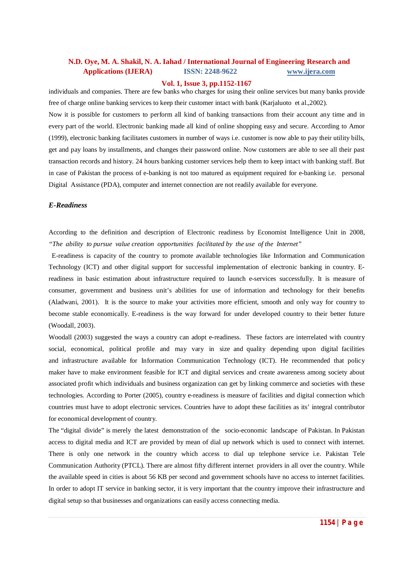#### **Vol. 1, Issue 3, pp.1152-1167**

individuals and companies. There are few banks who charges for using their online services but many banks provide free of charge online banking services to keep their customer intact with bank (Karjaluoto et al.,2002).

Now it is possible for customers to perform all kind of banking transactions from their account any time and in every part of the world. Electronic banking made all kind of online shopping easy and secure. According to Amor (1999), electronic banking facilitates customers in number of ways i.e. customer is now able to pay their utility bills, get and pay loans by installments, and changes their password online. Now customers are able to see all their past transaction records and history. 24 hours banking customer services help them to keep intact with banking staff. But in case of Pakistan the process of e-banking is not too matured as equipment required for e-banking i.e. personal Digital Assistance (PDA), computer and internet connection are not readily available for everyone.

#### *E-Readiness*

According to the definition and description of Electronic readiness by Economist Intelligence Unit in 2008, *"The ability to pursue value creation opportunities facilitated by the use of the Internet"* 

 E-readiness is capacity of the country to promote available technologies like Information and Communication Technology (ICT) and other digital support for successful implementation of electronic banking in country. Ereadiness in basic estimation about infrastructure required to launch e-services successfully. It is measure of consumer, government and business unit's abilities for use of information and technology for their benefits (Aladwani, 2001). It is the source to make your activities more efficient, smooth and only way for country to become stable economically. E-readiness is the way forward for under developed country to their better future (Woodall, 2003).

Woodall (2003) suggested the ways a country can adopt e-readiness. These factors are interrelated with country social, economical, political profile and may vary in size and quality depending upon digital facilities and infrastructure available for Information Communication Technology (ICT). He recommended that policy maker have to make environment feasible for ICT and digital services and create awareness among society about associated profit which individuals and business organization can get by linking commerce and societies with these technologies. According to Porter (2005), country e-readiness is measure of facilities and digital connection which countries must have to adopt electronic services. Countries have to adopt these facilities as its' integral contributor for economical development of country.

The "digital divide" is merely the latest demonstration of the socio-economic landscape of Pakistan. In Pakistan access to digital media and ICT are provided by mean of dial up network which is used to connect with internet. There is only one network in the country which access to dial up telephone service i.e. Pakistan Tele Communication Authority (PTCL). There are almost fifty different internet providers in all over the country. While the available speed in cities is about 56 KB per second and government schools have no access to internet facilities. In order to adopt IT service in banking sector, it is very important that the country improve their infrastructure and digital setup so that businesses and organizations can easily access connecting media.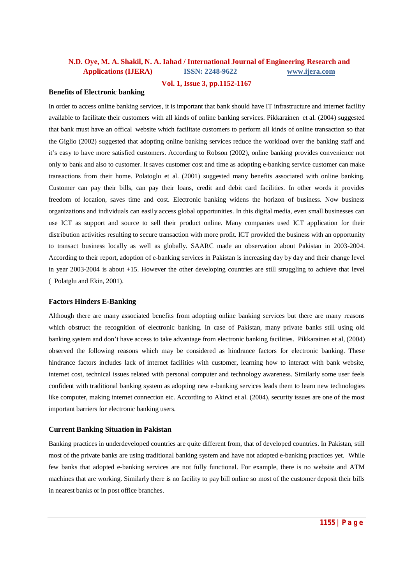#### **Vol. 1, Issue 3, pp.1152-1167**

### **Benefits of Electronic banking**

In order to access online banking services, it is important that bank should have IT infrastructure and internet facility available to facilitate their customers with all kinds of online banking services. Pikkarainen et al. (2004) suggested that bank must have an offical website which facilitate customers to perform all kinds of online transaction so that the Giglio (2002) suggested that adopting online banking services reduce the workload over the banking staff and it's easy to have more satisfied customers. According to Robson (2002), online banking provides convenience not only to bank and also to customer. It saves customer cost and time as adopting e-banking service customer can make transactions from their home. Polatoglu et al. (2001) suggested many benefits associated with online banking. Customer can pay their bills, can pay their loans, credit and debit card facilities. In other words it provides freedom of location, saves time and cost. Electronic banking widens the horizon of business. Now business organizations and individuals can easily access global opportunities. In this digital media, even small businesses can use ICT as support and source to sell their product online. Many companies used ICT application for their distribution activities resulting to secure transaction with more profit. ICT provided the business with an opportunity to transact business locally as well as globally. SAARC made an observation about Pakistan in 2003-2004. According to their report, adoption of e-banking services in Pakistan is increasing day by day and their change level in year 2003-2004 is about +15. However the other developing countries are still struggling to achieve that level (0Polatglu and Ekin, 2001).

#### **Factors Hinders E-Banking**

Although there are many associated benefits from adopting online banking services but there are many reasons which obstruct the recognition of electronic banking. In case of Pakistan, many private banks still using old banking system and don't have access to take advantage from electronic banking facilities. Pikkarainen et al, (2004) observed the following reasons which may be considered as hindrance factors for electronic banking. These hindrance factors includes lack of internet facilities with customer, learning how to interact with bank website, internet cost, technical issues related with personal computer and technology awareness. Similarly some user feels confident with traditional banking system as adopting new e-banking services leads them to learn new technologies like computer, making internet connection etc. According to Akinci et al. (2004), security issues are one of the most important barriers for electronic banking users.

#### **Current Banking Situation in Pakistan**

Banking practices in underdeveloped countries are quite different from, that of developed countries. In Pakistan, still most of the private banks are using traditional banking system and have not adopted e-banking practices yet. While few banks that adopted e-banking services are not fully functional. For example, there is no website and ATM machines that are working. Similarly there is no facility to pay bill online so most of the customer deposit their bills in nearest banks or in post office branches.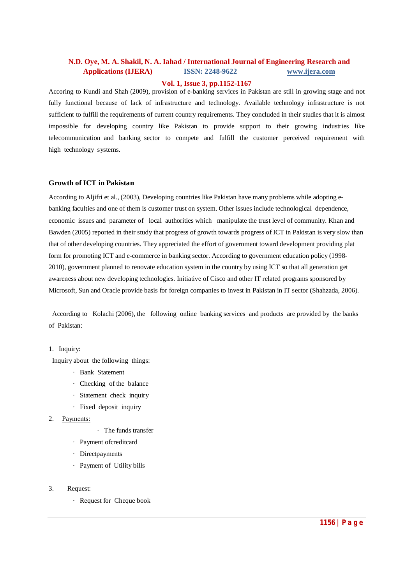#### **Vol. 1, Issue 3, pp.1152-1167**

Accoring to Kundi and Shah (2009), provision of e-banking services in Pakistan are still in growing stage and not fully functional because of lack of infrastructure and technology. Available technology infrastructure is not sufficient to fulfill the requirements of current country requirements. They concluded in their studies that it is almost impossible for developing country like Pakistan to provide support to their growing industries like telecommunication and banking sector to compete and fulfill the customer perceived requirement with high technology systems.

#### **Growth of ICT in Pakistan**

According to Aljifri et al., (2003), Developing countries like Pakistan have many problems while adopting ebanking faculties and one of them is customer trust on system. Other issues include technological dependence, economic issues and parameter of local authorities which manipulate the trust level of community. Khan and Bawden (2005) reported in their study that progress of growth towards progress of ICT in Pakistan is very slow than that of other developing countries. They appreciated the effort of government toward development providing plat form for promoting ICT and e-commerce in banking sector. According to government education policy (1998- 2010), government planned to renovate education system in the country by using ICT so that all generation get awareness about new developing technologies. Initiative of Cisco and other IT related programs sponsored by Microsoft, Sun and Oracle provide basis for foreign companies to invest in Pakistan in IT sector (Shahzada, 2006).

According to Kolachi (2006), the following online banking services and products are provided by the banks of Pakistan:

#### 1. Inquiry:

Inquiry about the following things:

- · Bank Statement
- $\cdot$  Checking of the balance
- · Statement check inquiry
- Fixed deposit inquiry
- 2. Payments:
	- $\cdot$  The funds transfer
	- · Payment ofcreditcard
	- Directpayments
	- · Payment of Utility bills
- 3. Request:
	- · Request for Cheque book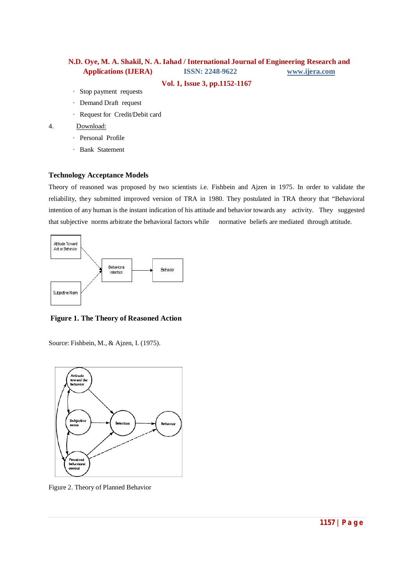**Vol. 1, Issue 3, pp.1152-1167**

- Stop payment requests
- · Demand Draft request
- · Request for Credit/Debit card

#### 4. Download:

- · Personal Profile
- · Bank Statement

#### **Technology Acceptance Models**

Theory of reasoned was proposed by two scientists i.e. Fishbein and Ajzen in 1975. In order to validate the reliability, they submitted improved version of TRA in 1980. They postulated in TRA theory that "Behavioral intention of any human is the instant indication of his attitude and behavior towards any activity. They suggested that subjective norms arbitrate the behavioral factors while normative beliefs are mediated through attitude.



**Figure 1. The Theory of Reasoned Action** 

Source: Fishbein, M., & Ajzen, I. (1975).



Figure 2. Theory of Planned Behavior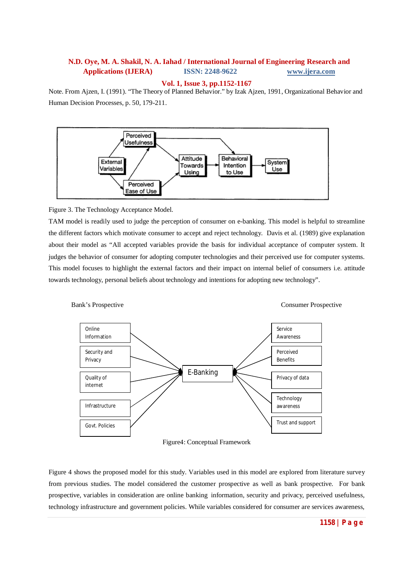#### **Vol. 1, Issue 3, pp.1152-1167**

Note. From Ajzen, I. (1991). "The Theory of Planned Behavior." by Izak Ajzen, 1991, Organizational Behavior and Human Decision Processes, p. 50, 179-211.



### Figure 3. The Technology Acceptance Model.

TAM model is readily used to judge the perception of consumer on e-banking. This model is helpful to streamline the different factors which motivate consumer to accept and reject technology. Davis et al. (1989) give explanation about their model as "All accepted variables provide the basis for individual acceptance of computer system. It judges the behavior of consumer for adopting computer technologies and their perceived use for computer systems. This model focuses to highlight the external factors and their impact on internal belief of consumers i.e. attitude towards technology, personal beliefs about technology and intentions for adopting new technology".



Figure4: Conceptual Framework

Figure 4 shows the proposed model for this study. Variables used in this model are explored from literature survey from previous studies. The model considered the customer prospective as well as bank prospective. For bank prospective, variables in consideration are online banking information, security and privacy, perceived usefulness, technology infrastructure and government policies. While variables considered for consumer are services awareness,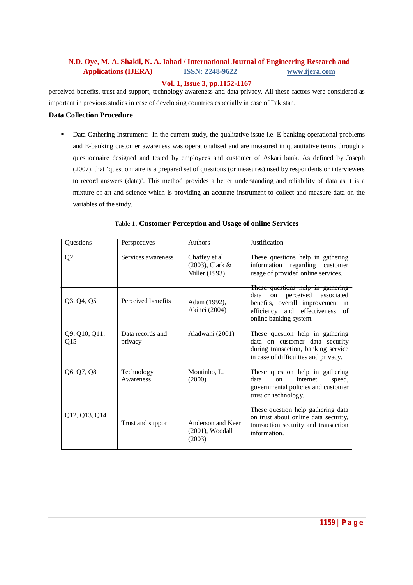#### **Vol. 1, Issue 3, pp.1152-1167**

perceived benefits, trust and support, technology awareness and data privacy. All these factors were considered as important in previous studies in case of developing countries especially in case of Pakistan.

### **Data Collection Procedure**

Data Gathering Instrument: In the current study, the qualitative issue i.e. E-banking operational problems and E-banking customer awareness was operationalised and are measured in quantitative terms through a questionnaire designed and tested by employees and customer of Askari bank. As defined by Joseph (2007), that 'questionnaire is a prepared set of questions (or measures) used by respondents or interviewers to record answers (data)'. This method provides a better understanding and reliability of data as it is a mixture of art and science which is providing an accurate instrument to collect and measure data on the variables of the study.

| Questions            | Perspectives                | <b>Authors</b>                                     | Justification                                                                                                                                                               |
|----------------------|-----------------------------|----------------------------------------------------|-----------------------------------------------------------------------------------------------------------------------------------------------------------------------------|
| Q2                   | Services awareness          | Chaffey et al.<br>(2003), Clark &<br>Miller (1993) | These questions help in gathering<br>information<br>regarding customer<br>usage of provided online services.                                                                |
| Q3. Q4, Q5           | Perceived benefits          | Adam (1992),<br>Akinci (2004)                      | These questions help in gathering<br>on perceived<br>associated<br>data<br>benefits, overall improvement in<br>efficiency and effectiveness<br>of<br>online banking system. |
| Q9, Q10, Q11,<br>Q15 | Data records and<br>privacy | Aladwani (2001)                                    | These question help in gathering<br>data on customer data security<br>during transaction, banking service<br>in case of difficulties and privacy.                           |
| Q6, Q7, Q8           | Technology<br>Awareness     | Moutinho, L.<br>(2000)                             | These question help in gathering<br>internet<br>data<br>speed,<br><sub>on</sub><br>governmental policies and customer<br>trust on technology.                               |
| Q12, Q13, Q14        | Trust and support           | Anderson and Keer<br>$(2001)$ , Woodall<br>(2003)  | These question help gathering data<br>on trust about online data security,<br>transaction security and transaction<br>information.                                          |

### Table 1. **Customer Perception and Usage of online Services**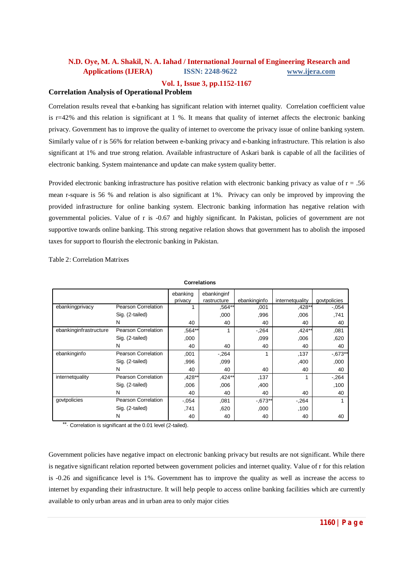### **Vol. 1, Issue 3, pp.1152-1167**

### **Correlation Analysis of Operational Problem**

Correlation results reveal that e-banking has significant relation with internet quality. Correlation coefficient value is  $r=42\%$  and this relation is significant at 1 %. It means that quality of internet affects the electronic banking privacy. Government has to improve the quality of internet to overcome the privacy issue of online banking system. Similarly value of r is 56% for relation between e-banking privacy and e-banking infrastructure. This relation is also significant at 1% and true strong relation. Available infrastructure of Askari bank is capable of all the facilities of electronic banking. System maintenance and update can make system quality better.

Provided electronic banking infrastructure has positive relation with electronic banking privacy as value of r = .56 mean r-square is 56 % and relation is also significant at 1%. Privacy can only be improved by improving the provided infrastructure for online banking system. Electronic banking information has negative relation with governmental policies. Value of r is -0.67 and highly significant. In Pakistan, policies of government are not supportive towards online banking. This strong negative relation shows that government has to abolish the imposed taxes for support to flourish the electronic banking in Pakistan.

Table 2: Correlation Matrixes

| Correlations           |                     |                     |                            |              |                 |              |
|------------------------|---------------------|---------------------|----------------------------|--------------|-----------------|--------------|
|                        |                     | ebanking<br>privacy | ebankinginf<br>rastructure | ebankinginfo | internetquality | govtpolicies |
| ebankingprivacy        | Pearson Correlation |                     | $,564**$                   | .001         | ,428**          | $-.054$      |
|                        | Sig. (2-tailed)     |                     | ,000                       | .996         | ,006            | .741         |
|                        | N                   | 40                  | 40                         | 40           | 40              | 40           |
| ebankinginfrastructure | Pearson Correlation | ,564**              | 1                          | $-264$       | ,424**          | ,081         |
|                        | Sig. (2-tailed)     | ,000                |                            | .099         | ,006            | ,620         |
|                        | N                   | 40                  | 40                         | 40           | 40              | 40           |
| ebankinginfo           | Pearson Correlation | ,001                | $-264$                     |              | ,137            | $-0.673**$   |
|                        | Sig. (2-tailed)     | ,996                | ,099                       |              | ,400            | ,000         |
|                        | N                   | 40                  | 40                         | 40           | 40              | 40           |
| internetquality        | Pearson Correlation | ,428**              | ,424**                     | ,137         |                 | $-264$       |
|                        | Sig. (2-tailed)     | ,006                | ,006                       | ,400         |                 | ,100         |
|                        | N                   | 40                  | 40                         | 40           | 40              | 40           |
| govtpolicies           | Pearson Correlation | $-.054$             | .081                       | $-0.673**$   | $-.264$         |              |
|                        | Sig. (2-tailed)     | .741                | .620                       | .000         | ,100            |              |
|                        | N                   | 40                  | 40                         | 40           | 40              | 40           |

**Correlations**

\*\*. Correlation is significant at the 0.01 level (2-tailed).

Government policies have negative impact on electronic banking privacy but results are not significant. While there is negative significant relation reported between government policies and internet quality. Value of r for this relation is -0.26 and significance level is 1%. Government has to improve the quality as well as increase the access to internet by expanding their infrastructure. It will help people to access online banking facilities which are currently available to only urban areas and in urban area to only major cities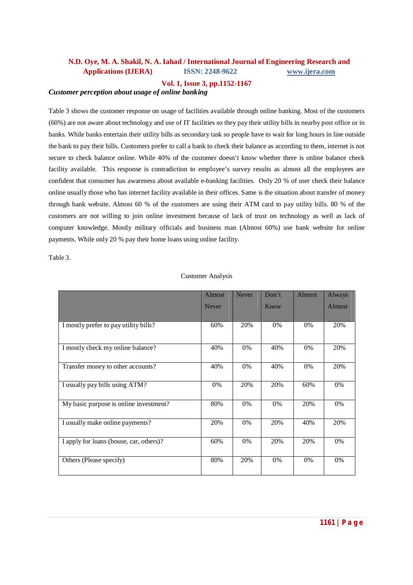### **Vol. 1, Issue 3, pp.1152-1167**

### *Customer perception about usage of online banking*

Table 3 shows the customer response on usage of facilities available through online banking. Most of the customers (60%) are not aware about technology and use of IT facilities so they pay their utility bills in nearby post office or in banks. While banks entertain their utility bills as secondary task so people have to wait for long hours in line outside the bank to pay their bills. Customers prefer to call a bank to check their balance as according to them, internet is not secure to check balance online. While 40% of the customer doesn't know whether there is online balance check facility available. This response is contradiction to employee's survey results as almost all the employees are confident that consumer has awareness about available e-banking facilities. Only 20 % of user check their balance online usually those who has internet facility available in their offices. Same is the situation about transfer of money through bank website. Almost 60 % of the customers are using their ATM card to pay utility bills. 80 % of the customers are not willing to join online investment because of lack of trust on technology as well as lack of computer knowledge. Mostly military officials and business man (Almost 60%) use bank website for online payments. While only 20 % pay their home loans using online facility.

Table 3.

| <b>Customer Analysis</b> |  |
|--------------------------|--|
|                          |  |

|                                         | <b>Almost</b> | <b>Never</b> | Don't | Almost | Always        |
|-----------------------------------------|---------------|--------------|-------|--------|---------------|
|                                         | <b>Never</b>  |              | Know  |        | <b>Almost</b> |
|                                         |               |              |       |        |               |
| I mostly prefer to pay utility bills?   | 60%           | 20%          | 0%    | $0\%$  | 20%           |
| I mostly check my online balance?       | 40%           | 0%           | 40%   | $0\%$  | 20%           |
| Transfer money to other accounts?       | 40%           | 0%           | 40%   | $0\%$  | 20%           |
| I usually pay bills using ATM?          | $0\%$         | 20%          | 20%   | 60%    | 0%            |
| My basic purpose is online investment?  | 80%           | 0%           | 0%    | 20%    | 0%            |
| I usually make online payments?         | 20%           | 0%           | 20%   | 40%    | 20%           |
| I apply for loans (house, car, others)? | 60%           | 0%           | 20%   | 20%    | 0%            |
| Others (Please specify)                 | 80%           | 20%          | 0%    | $0\%$  | 0%            |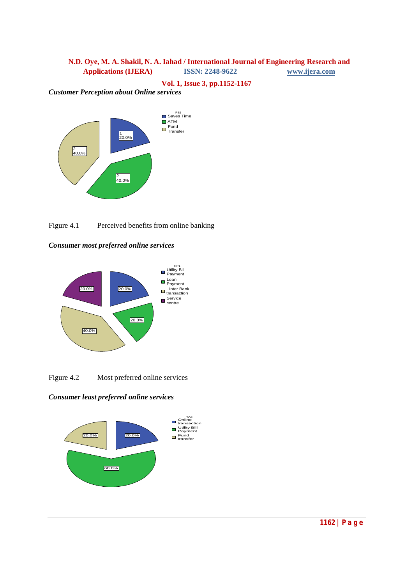**Vol. 1, Issue 3, pp.1152-1167**

*Customer Perception about Online services*









Figure 4.2 Most preferred online services

*Consumer least preferred online services*

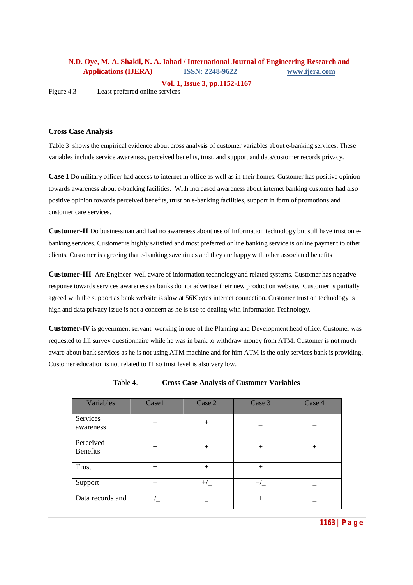**Vol. 1, Issue 3, pp.1152-1167**

Figure 4.3 Least preferred online services

#### **Cross Case Analysis**

Table 3 shows the empirical evidence about cross analysis of customer variables about e-banking services. These variables include service awareness, perceived benefits, trust, and support and data/customer records privacy.

**Case 1** Do military officer had access to internet in office as well as in their homes. Customer has positive opinion towards awareness about e-banking facilities. With increased awareness about internet banking customer had also positive opinion towards perceived benefits, trust on e-banking facilities, support in form of promotions and customer care services.

**Customer-II** Do businessman and had no awareness about use of Information technology but still have trust on ebanking services. Customer is highly satisfied and most preferred online banking service is online payment to other clients. Customer is agreeing that e-banking save times and they are happy with other associated benefits

**Customer-III** Are Engineer well aware of information technology and related systems. Customer has negative response towards services awareness as banks do not advertise their new product on website. Customer is partially agreed with the support as bank website is slow at 56Kbytes internet connection. Customer trust on technology is high and data privacy issue is not a concern as he is use to dealing with Information Technology.

**Customer-IV** is government servant working in one of the Planning and Development head office. Customer was requested to fill survey questionnaire while he was in bank to withdraw money from ATM. Customer is not much aware about bank services as he is not using ATM machine and for him ATM is the only services bank is providing. Customer education is not related to IT so trust level is also very low.

| Variables                    | Case1    | Case 2  | Case 3   | Case 4 |
|------------------------------|----------|---------|----------|--------|
| Services<br>awareness        | $^{+}$   | $^{+}$  |          |        |
| Perceived<br><b>Benefits</b> | $^{+}$   | $^{+}$  | $^+$     | $^+$   |
| Trust                        | $+$      | $^{+}$  | $^{+}$   |        |
| Support                      | $+$      | $^{+/}$ | $^{+/-}$ |        |
| Data records and             | $^{+/-}$ |         | $^+$     |        |

Table 4. **Cross Case Analysis of Customer Variables**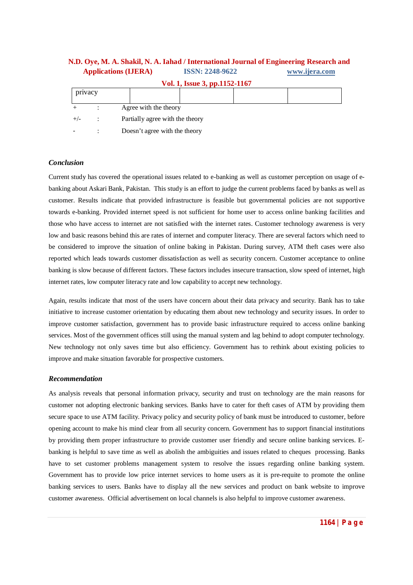| Vol. 1, Issue 3, pp.1152-1167 |  |                                 |  |  |  |
|-------------------------------|--|---------------------------------|--|--|--|
| privacy                       |  |                                 |  |  |  |
|                               |  | Agree with the theory           |  |  |  |
| $+/-$                         |  | Partially agree with the theory |  |  |  |
|                               |  | Doesn't agree with the theory   |  |  |  |

### *Conclusion*

Current study has covered the operational issues related to e-banking as well as customer perception on usage of ebanking about Askari Bank, Pakistan. This study is an effort to judge the current problems faced by banks as well as customer. Results indicate that provided infrastructure is feasible but governmental policies are not supportive towards e-banking. Provided internet speed is not sufficient for home user to access online banking facilities and those who have access to internet are not satisfied with the internet rates. Customer technology awareness is very low and basic reasons behind this are rates of internet and computer literacy. There are several factors which need to be considered to improve the situation of online baking in Pakistan. During survey, ATM theft cases were also reported which leads towards customer dissatisfaction as well as security concern. Customer acceptance to online banking is slow because of different factors. These factors includes insecure transaction, slow speed of internet, high internet rates, low computer literacy rate and low capability to accept new technology.

Again, results indicate that most of the users have concern about their data privacy and security. Bank has to take initiative to increase customer orientation by educating them about new technology and security issues. In order to improve customer satisfaction, government has to provide basic infrastructure required to access online banking services. Most of the government offices still using the manual system and lag behind to adopt computer technology. New technology not only saves time but also efficiency. Government has to rethink about existing policies to improve and make situation favorable for prospective customers.

#### *Recommendation*

As analysis reveals that personal information privacy, security and trust on technology are the main reasons for customer not adopting electronic banking services. Banks have to cater for theft cases of ATM by providing them secure space to use ATM facility. Privacy policy and security policy of bank must be introduced to customer, before opening account to make his mind clear from all security concern. Government has to support financial institutions by providing them proper infrastructure to provide customer user friendly and secure online banking services. Ebanking is helpful to save time as well as abolish the ambiguities and issues related to cheques processing. Banks have to set customer problems management system to resolve the issues regarding online banking system. Government has to provide low price internet services to home users as it is pre-requite to promote the online banking services to users. Banks have to display all the new services and product on bank website to improve customer awareness. Official advertisement on local channels is also helpful to improve customer awareness.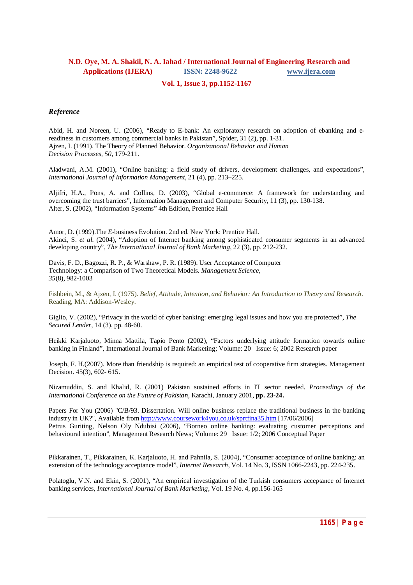### **Vol. 1, Issue 3, pp.1152-1167**

### *Reference*

Abid, H. and Noreen, U. (2006), "Ready to E-bank: An exploratory research on adoption of ebanking and ereadiness in customers among commercial banks in Pakistan", Spider, 31 (2), pp. 1-31. Ajzen, I. (1991). The Theory of Planned Behavior. *Organizational Behavior and Human Decision Processes, 50*, 179-211.

Aladwani, A.M. (2001), "Online banking: a field study of drivers, development challenges, and expectations", *International Journal of Information Management*, 21 (4), pp. 213–225.

Aljifri, H.A., Pons, A. and Collins, D. (2003), "Global e-commerce: A framework for understanding and overcoming the trust barriers", Information Management and Computer Security, 11 (3), pp. 130-138. Alter, S. (2002), "Information Systems" 4th Edition, Prentice Hall

Amor, D. (1999).The *E-*business Evolution. 2nd ed. New York: Prentice Hall. Akinci, S. *et al.* (2004), "Adoption of Internet banking among sophisticated consumer segments in an advanced developing country", *The International Journal of Bank Marketing*, 22 (3), pp. 212-232.

Davis, F. D., Bagozzi, R. P., & Warshaw, P. R. (1989). User Acceptance of Computer Technology: a Comparison of Two Theoretical Models. *Management Science, 35*(8), 982-1003

Fishbein, M., & Ajzen, I. (1975). *Belief, Attitude, Intention, and Behavior: An Introduction to Theory and Research*. Reading, MA: Addison-Wesley.

Giglio, V. (2002), "Privacy in the world of cyber banking: emerging legal issues and how you are protected", *The Secured Lender*, 14 (3), pp. 48-60.

Heikki Karjaluoto, Minna Mattila, Tapio Pento (2002), "Factors underlying attitude formation towards online banking in Finland", International Journal of Bank Marketing; Volume: 20 Issue: 6; 2002 Research paper

Joseph, F. H.(2007). More than friendship is required: an empirical test of cooperative firm strategies. Management Decision. 45(3), 602- 615.

Nizamuddin, S. and Khalid, R. (2001) Pakistan sustained efforts in IT sector needed. *Proceedings of the International Conference on the Future of Pakistan,* Karachi, January 2001, **pp. 23-24.**

Papers For You (2006) "C/B/93. Dissertation. Will online business replace the traditional business in the banking industry in UK?", Available from http://www.coursework4you.co.uk/sprtfina35.htm [17/06/2006] Petrus Guriting, Nelson Oly Ndubisi (2006), "Borneo online banking: evaluating customer perceptions and behavioural intention", Management Research News; Volume: 29 Issue: 1/2; 2006 Conceptual Paper

Pikkarainen, T., Pikkarainen, K. Karjaluoto, H. and Pahnila, S. (2004), "Consumer acceptance of online banking: an extension of the technology acceptance model", *Internet Research*, Vol. 14 No. 3, ISSN 1066-2243, pp. 224-235.

Polatoglu, V.N. and Ekin, S. (2001), "An empirical investigation of the Turkish consumers acceptance of Internet banking services, *International Journal of Bank Marketing*, Vol. 19 No. 4, pp.156-165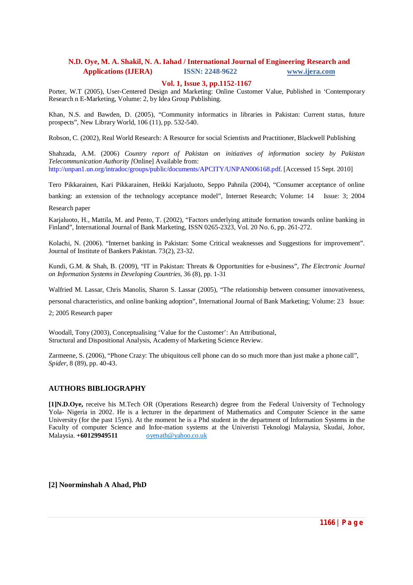#### **Vol. 1, Issue 3, pp.1152-1167**

Porter, W.T (2005), User-Centered Design and Marketing: Online Customer Value, Published in 'Contemporary Research n E-Marketing, Volume: 2, by Idea Group Publishing.

Khan, N.S. and Bawden, D. (2005), "Community informatics in libraries in Pakistan: Current status, future prospects", New Library World, 106 (11), pp. 532-540.

Robson, C. (2002), Real World Research: A Resource for social Scientists and Practitioner, Blackwell Publishing

Shahzada, A.M. (2006) *Country report of Pakistan on initiatives of information society by Pakistan Telecommunication Authority [*Online] Available from: http://unpan1.un.org/intradoc/groups/public/documents/APCITY/UNPAN006168.pdf. [Accessed 15 Sept. 2010]

Tero Pikkarainen, Kari Pikkarainen, Heikki Karjaluoto, Seppo Pahnila (2004), "Consumer acceptance of online

banking: an extension of the technology acceptance model", Internet Research; Volume: 14 Issue: 3; 2004

#### Research paper

Karjaluoto, H., Mattila, M. and Pento, T. (2002), "Factors underlying attitude formation towards online banking in Finland", International Journal of Bank Marketing, ISSN 0265-2323, Vol. 20 No. 6, pp. 261-272.

Kolachi, N. (2006). "Internet banking in Pakistan: Some Critical weaknesses and Suggestions for improvement". Journal of Institute of Bankers Pakistan. 73(2), 23-32.

Kundi, G.M. & Shah, B. (2009), "IT in Pakistan: Threats & Opportunities for e-business", *The Electronic Journal on Information Systems in Developing Countries,* 36 (8), pp. 1-31

Walfried M. Lassar, Chris Manolis, Sharon S. Lassar (2005), "The relationship between consumer innovativeness,

personal characteristics, and online banking adoption", International Journal of Bank Marketing; Volume: 23 Issue:

2; 2005 Research paper

Woodall, Tony (2003), Conceptualising 'Value for the Customer': An Attributional, Structural and Dispositional Analysis, Academy of Marketing Science Review.

Zarmeene, S. (2006), "Phone Crazy: The ubiquitous cell phone can do so much more than just make a phone call", *Spider*, 8 (89), pp. 40-43.

### **AUTHORS BIBLIOGRAPHY**

**[1]N.D.Oye,** receive his M.Tech OR (Operations Research) degree from the Federal University of Technology Yola- Nigeria in 2002. He is a lecturer in the department of Mathematics and Computer Science in the same University (for the past 15yrs). At the moment he is a Phd student in the department of Information Systems in the Faculty of computer Science and Infor-mation systems at the Univeristi Teknologi Malaysia, Skudai, Johor, Malaysia. **+60129949511** oyenath@yahoo.co.uk

**[2] Noorminshah A Ahad, PhD**